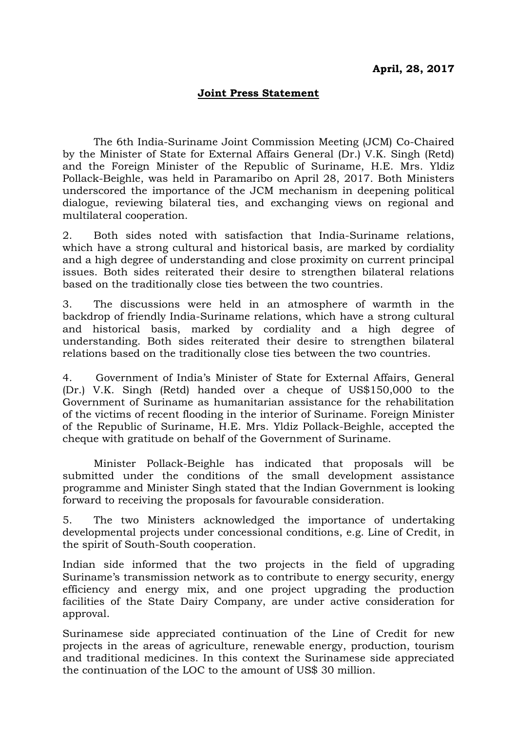## **Joint Press Statement**

The 6th India-Suriname Joint Commission Meeting (JCM) Co-Chaired by the Minister of State for External Affairs General (Dr.) V.K. Singh (Retd) and the Foreign Minister of the Republic of Suriname, H.E. Mrs. Yldiz Pollack-Beighle, was held in Paramaribo on April 28, 2017. Both Ministers underscored the importance of the JCM mechanism in deepening political dialogue, reviewing bilateral ties, and exchanging views on regional and multilateral cooperation.

2. Both sides noted with satisfaction that India-Suriname relations, which have a strong cultural and historical basis, are marked by cordiality and a high degree of understanding and close proximity on current principal issues. Both sides reiterated their desire to strengthen bilateral relations based on the traditionally close ties between the two countries.

3. The discussions were held in an atmosphere of warmth in the backdrop of friendly India-Suriname relations, which have a strong cultural and historical basis, marked by cordiality and a high degree of understanding. Both sides reiterated their desire to strengthen bilateral relations based on the traditionally close ties between the two countries.

4. Government of India's Minister of State for External Affairs, General (Dr.) V.K. Singh (Retd) handed over a cheque of US\$150,000 to the Government of Suriname as humanitarian assistance for the rehabilitation of the victims of recent flooding in the interior of Suriname. Foreign Minister of the Republic of Suriname, H.E. Mrs. Yldiz Pollack-Beighle, accepted the cheque with gratitude on behalf of the Government of Suriname.

Minister Pollack-Beighle has indicated that proposals will be submitted under the conditions of the small development assistance programme and Minister Singh stated that the Indian Government is looking forward to receiving the proposals for favourable consideration.

5. The two Ministers acknowledged the importance of undertaking developmental projects under concessional conditions, e.g. Line of Credit, in the spirit of South-South cooperation.

Indian side informed that the two projects in the field of upgrading Suriname's transmission network as to contribute to energy security, energy efficiency and energy mix, and one project upgrading the production facilities of the State Dairy Company, are under active consideration for approval.

Surinamese side appreciated continuation of the Line of Credit for new projects in the areas of agriculture, renewable energy, production, tourism and traditional medicines. In this context the Surinamese side appreciated the continuation of the LOC to the amount of US\$ 30 million.